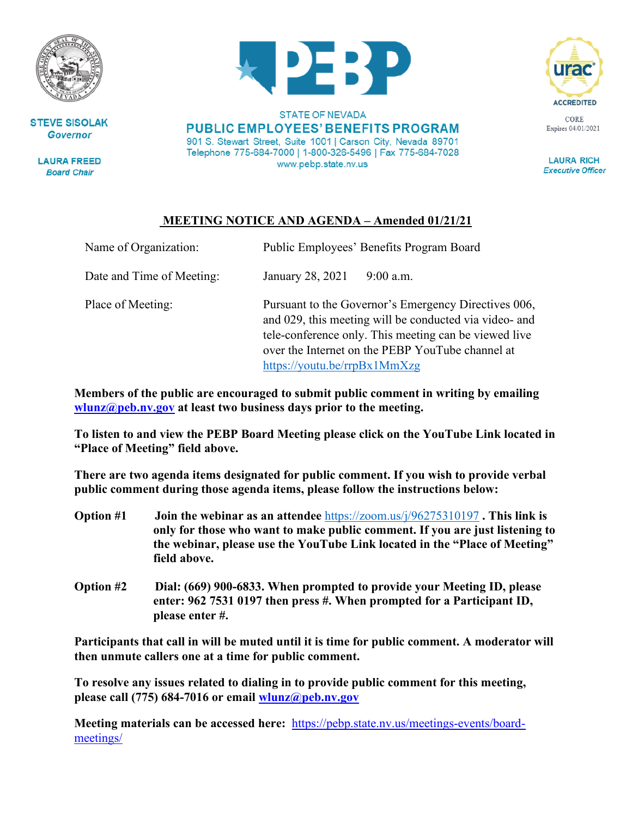

**STEVE SISOLAK Governor** 

**LAURA FREED Board Chair** 



**STATE OF NEVADA PUBLIC EMPLOYEES' BENEFITS PROGRAM** 901 S. Stewart Street, Suite 1001 | Carson City, Nevada 89701 Telephone 775-684-7000 | 1-800-326-5496 | Fax 775-684-7028 www.pebp.state.nv.us



**LAURA RICH Executive Officer** 

## **MEETING NOTICE AND AGENDA – Amended 01/21/21**

| Name of Organization:     | Public Employees' Benefits Program Board                                                                                                                                                                                                                    |
|---------------------------|-------------------------------------------------------------------------------------------------------------------------------------------------------------------------------------------------------------------------------------------------------------|
| Date and Time of Meeting: | January 28, 2021<br>$9:00$ a.m.                                                                                                                                                                                                                             |
| Place of Meeting:         | Pursuant to the Governor's Emergency Directives 006,<br>and 029, this meeting will be conducted via video- and<br>tele-conference only. This meeting can be viewed live<br>over the Internet on the PEBP YouTube channel at<br>https://youtu.be/rrpBx1MmXzg |

**Members of the public are encouraged to submit public comment in writing by emailing [wlunz@peb.nv.gov](mailto:wlunz@peb.nv.gov) at least two business days prior to the meeting.**

**To listen to and view the PEBP Board Meeting please click on the YouTube Link located in "Place of Meeting" field above.**

**There are two agenda items designated for public comment. If you wish to provide verbal public comment during those agenda items, please follow the instructions below:**

- **Option #1 Join the webinar as an attendee** <https://zoom.us/j/96275310197> **. This link is only for those who want to make public comment. If you are just listening to the webinar, please use the YouTube Link located in the "Place of Meeting" field above.**
- **Option #2 Dial: (669) 900-6833. When prompted to provide your Meeting ID, please enter: 962 7531 0197 then press #. When prompted for a Participant ID, please enter #.**

**Participants that call in will be muted until it is time for public comment. A moderator will then unmute callers one at a time for public comment.**

**To resolve any issues related to dialing in to provide public comment for this meeting, please call (775) 684-7016 or email [wlunz@peb.nv.gov](mailto:wlunz@peb.nv.gov)**

**Meeting materials can be accessed here:** [https://pebp.state.nv.us/meetings-events/board](https://pebp.state.nv.us/meetings-events/board-meetings/)[meetings/](https://pebp.state.nv.us/meetings-events/board-meetings/)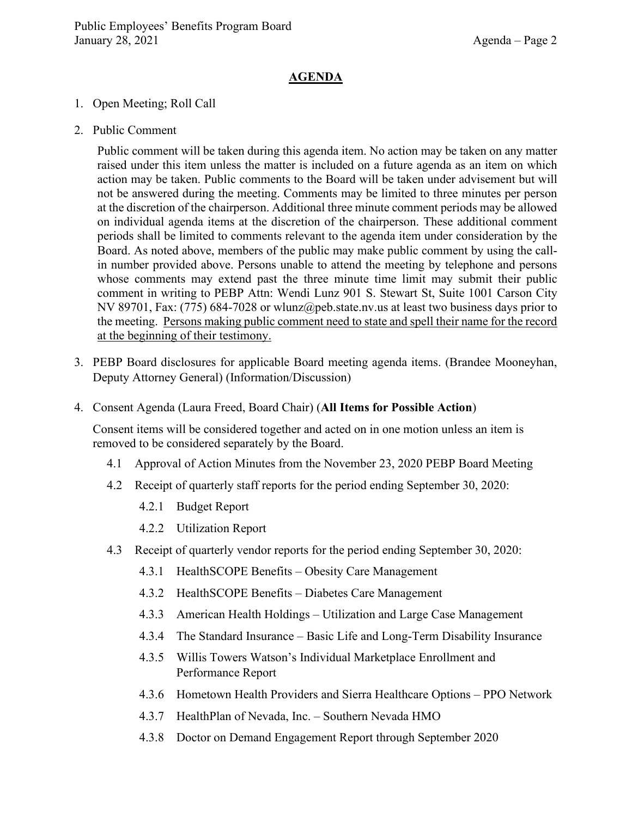## **AGENDA**

- 1. Open Meeting; Roll Call
- 2. Public Comment

Public comment will be taken during this agenda item. No action may be taken on any matter raised under this item unless the matter is included on a future agenda as an item on which action may be taken. Public comments to the Board will be taken under advisement but will not be answered during the meeting. Comments may be limited to three minutes per person at the discretion of the chairperson. Additional three minute comment periods may be allowed on individual agenda items at the discretion of the chairperson. These additional comment periods shall be limited to comments relevant to the agenda item under consideration by the Board. As noted above, members of the public may make public comment by using the callin number provided above. Persons unable to attend the meeting by telephone and persons whose comments may extend past the three minute time limit may submit their public comment in writing to PEBP Attn: Wendi Lunz 901 S. Stewart St, Suite 1001 Carson City NV 89701, Fax: (775) 684-7028 or wlunz@peb.state.nv.us at least two business days prior to the meeting. Persons making public comment need to state and spell their name for the record at the beginning of their testimony.

- 3. PEBP Board disclosures for applicable Board meeting agenda items. (Brandee Mooneyhan, Deputy Attorney General) (Information/Discussion)
- 4. Consent Agenda (Laura Freed, Board Chair) (**All Items for Possible Action**)

Consent items will be considered together and acted on in one motion unless an item is removed to be considered separately by the Board.

- 4.1 Approval of Action Minutes from the November 23, 2020 PEBP Board Meeting
- 4.2 Receipt of quarterly staff reports for the period ending September 30, 2020:
	- 4.2.1 Budget Report
	- 4.2.2 Utilization Report
- 4.3 Receipt of quarterly vendor reports for the period ending September 30, 2020:
	- 4.3.1 HealthSCOPE Benefits Obesity Care Management
	- 4.3.2 HealthSCOPE Benefits Diabetes Care Management
	- 4.3.3 American Health Holdings Utilization and Large Case Management
	- 4.3.4 The Standard Insurance Basic Life and Long-Term Disability Insurance
	- 4.3.5 Willis Towers Watson's Individual Marketplace Enrollment and Performance Report
	- 4.3.6 Hometown Health Providers and Sierra Healthcare Options PPO Network
	- 4.3.7 HealthPlan of Nevada, Inc. Southern Nevada HMO
	- 4.3.8 Doctor on Demand Engagement Report through September 2020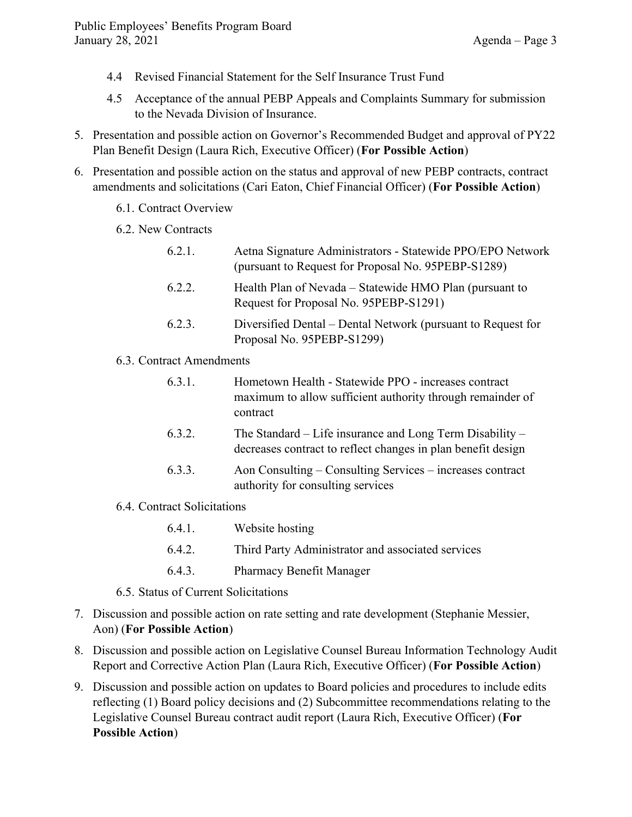- 4.4 Revised Financial Statement for the Self Insurance Trust Fund
- 4.5 Acceptance of the annual PEBP Appeals and Complaints Summary for submission to the Nevada Division of Insurance.
- 5. Presentation and possible action on Governor's Recommended Budget and approval of PY22 Plan Benefit Design (Laura Rich, Executive Officer) (**For Possible Action**)
- 6. Presentation and possible action on the status and approval of new PEBP contracts, contract amendments and solicitations (Cari Eaton, Chief Financial Officer) (**For Possible Action**)
	- 6.1. Contract Overview
	- 6.2. New Contracts
		- 6.2.1. Aetna Signature Administrators Statewide PPO/EPO Network (pursuant to Request for Proposal No. 95PEBP-S1289)
		- 6.2.2. Health Plan of Nevada Statewide HMO Plan (pursuant to Request for Proposal No. 95PEBP-S1291)
		- 6.2.3. Diversified Dental Dental Network (pursuant to Request for Proposal No. 95PEBP-S1299)
	- 6.3. Contract Amendments
		- 6.3.1. Hometown Health Statewide PPO increases contract maximum to allow sufficient authority through remainder of contract
		- 6.3.2. The Standard Life insurance and Long Term Disability decreases contract to reflect changes in plan benefit design
		- 6.3.3. Aon Consulting Consulting Services increases contract authority for consulting services
	- 6.4. Contract Solicitations
		- 6.4.1. Website hosting
		- 6.4.2. Third Party Administrator and associated services
		- 6.4.3. Pharmacy Benefit Manager
	- 6.5. Status of Current Solicitations
- 7. Discussion and possible action on rate setting and rate development (Stephanie Messier, Aon) (**For Possible Action**)
- 8. Discussion and possible action on Legislative Counsel Bureau Information Technology Audit Report and Corrective Action Plan (Laura Rich, Executive Officer) (**For Possible Action**)
- 9. Discussion and possible action on updates to Board policies and procedures to include edits reflecting (1) Board policy decisions and (2) Subcommittee recommendations relating to the Legislative Counsel Bureau contract audit report (Laura Rich, Executive Officer) (**For Possible Action**)